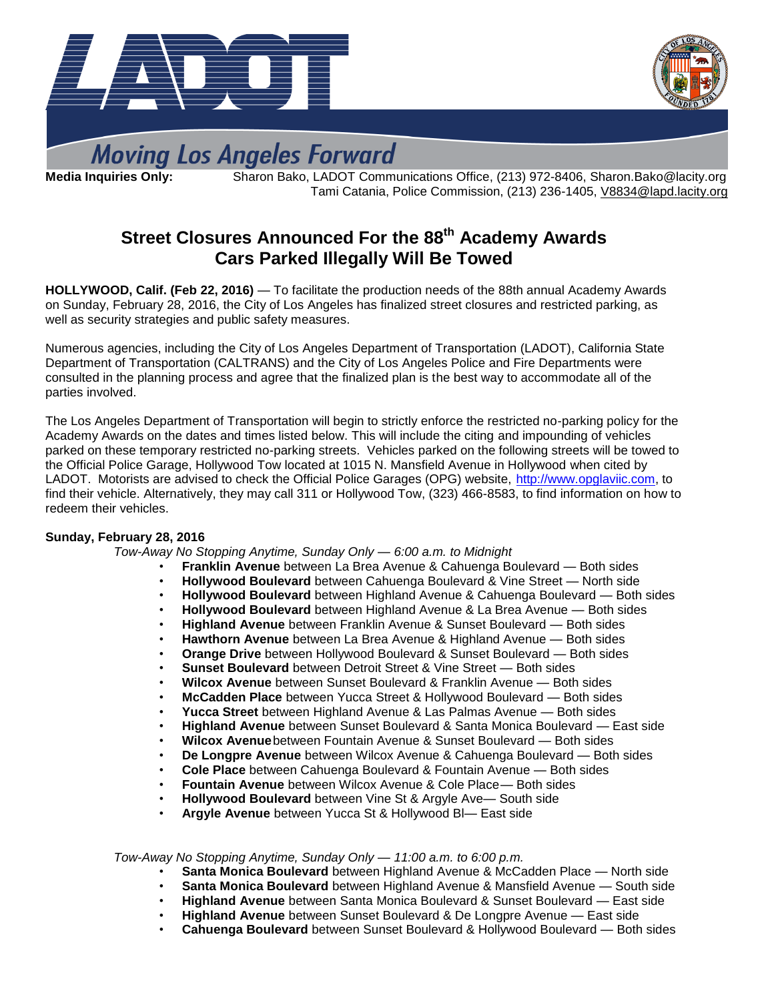



# **Moving Los Angeles Forward**

**Media Inquiries Only:** Sharon Bako, LADOT Communications Office, (213) 972-8406, Sharon.Bako@lacity.org Tami Catania, Police Commission, (213) 236-1405, [V8834@lapd.lacity.org](mailto:V8834@lapd.lacity.org)

# **Street Closures Announced For the 88 th Academy Awards Cars Parked Illegally Will Be Towed**

**HOLLYWOOD, Calif. (Feb 22, 2016)** — To facilitate the production needs of the 88th annual Academy Awards on Sunday, February 28, 2016, the City of Los Angeles has finalized street closures and restricted parking, as well as security strategies and public safety measures.

Numerous agencies, including the City of Los Angeles Department of Transportation (LADOT), California State Department of Transportation (CALTRANS) and the City of Los Angeles Police and Fire Departments were consulted in the planning process and agree that the finalized plan is the best way to accommodate all of the parties involved.

The Los Angeles Department of Transportation will begin to strictly enforce the restricted no-parking policy for the Academy Awards on the dates and times listed below. This will include the citing and impounding of vehicles parked on these temporary restricted no-parking streets. Vehicles parked on the following streets will be towed to the Official Police Garage, Hollywood Tow located at 1015 N. Mansfield Avenue in Hollywood when cited by LADOT. Motorists are advised to check the Official Police Garages (OPG) website, [http://www.opglaviic.com,](http://www.opglaviic.com/) to find their vehicle. Alternatively, they may call 311 or Hollywood Tow, (323) 466-8583, to find information on how to redeem their vehicles.

#### **Sunday, February 28, 2016**

*Tow-Away No Stopping Anytime, Sunday Only — 6:00 a.m. to Midnight*

- **Franklin Avenue** between La Brea Avenue & Cahuenga Boulevard Both sides
- **Hollywood Boulevard** between Cahuenga Boulevard & Vine Street North side
- **Hollywood Boulevard** between Highland Avenue & Cahuenga Boulevard Both sides
- **Hollywood Boulevard** between Highland Avenue & La Brea Avenue Both sides
- **Highland Avenue** between Franklin Avenue & Sunset Boulevard Both sides
- **Hawthorn Avenue** between La Brea Avenue & Highland Avenue Both sides
- **Orange Drive** between Hollywood Boulevard & Sunset Boulevard Both sides
- **Sunset Boulevard** between Detroit Street & Vine Street Both sides
- **Wilcox Avenue** between Sunset Boulevard & Franklin Avenue Both sides
- **McCadden Place** between Yucca Street & Hollywood Boulevard Both sides
- **Yucca Street** between Highland Avenue & Las Palmas Avenue Both sides
- **Highland Avenue** between Sunset Boulevard & Santa Monica Boulevard East side
- **Wilcox Avenue**between Fountain Avenue & Sunset Boulevard Both sides
- **De Longpre Avenue** between Wilcox Avenue & Cahuenga Boulevard Both sides
- **Cole Place** between Cahuenga Boulevard & Fountain Avenue Both sides
- **Fountain Avenue** between Wilcox Avenue & Cole Place— Both sides
- **Hollywood Boulevard** between Vine St & Argyle Ave— South side
- **Argyle Avenue** between Yucca St & Hollywood Bl— East side

*Tow-Away No Stopping Anytime, Sunday Only — 11:00 a.m. to 6:00 p.m.*

- **Santa Monica Boulevard** between Highland Avenue & McCadden Place North side
- **Santa Monica Boulevard** between Highland Avenue & Mansfield Avenue South side
- **Highland Avenue** between Santa Monica Boulevard & Sunset Boulevard East side
- **Highland Avenue** between Sunset Boulevard & De Longpre Avenue East side
- **Cahuenga Boulevard** between Sunset Boulevard & Hollywood Boulevard Both sides